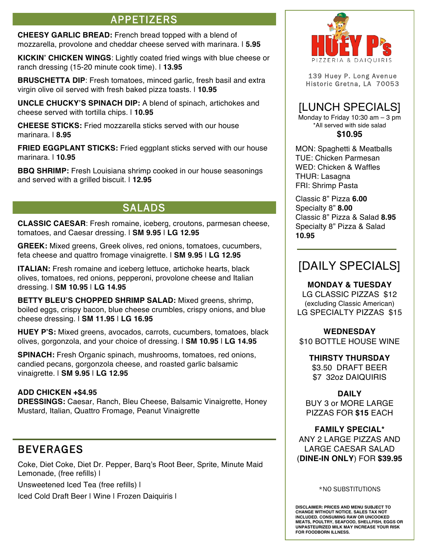# APPETIZERS

**CHEESY GARLIC BREAD:** French bread topped with a blend of mozzarella, provolone and cheddar cheese served with marinara. | **5.95**

**KICKIN' CHICKEN WINGS**: Lightly coated fried wings with blue cheese or ranch dressing (15-20 minute cook time). | **13.95** 

**BRUSCHETTA DIP:** Fresh tomatoes, minced garlic, fresh basil and extra virgin olive oil served with fresh baked pizza toasts. | **10.95** 

**UNCLE CHUCKY'S SPINACH DIP:** A blend of spinach, artichokes and cheese served with tortilla chips. | **10.95**

**CHEESE STICKS:** Fried mozzarella sticks served with our house marinara. | **8.95**

**FRIED EGGPLANT STICKS:** Fried eggplant sticks served with our house marinara. | **10.95**

**BBQ SHRIMP:** Fresh Louisiana shrimp cooked in our house seasonings and served with a grilled biscuit. | **12.95**

## SALADS

**CLASSIC CAESAR**: Fresh romaine, iceberg, croutons, parmesan cheese, tomatoes, and Caesar dressing. | **SM 9.95** | **LG 12.95** 

**GREEK:** Mixed greens, Greek olives, red onions, tomatoes, cucumbers, feta cheese and quattro fromage vinaigrette. | **SM 9.95** | **LG 12.95** 

**ITALIAN:** Fresh romaine and iceberg lettuce, artichoke hearts, black olives, tomatoes, red onions, pepperoni, provolone cheese and Italian dressing. | **SM 10.95** | **LG 14.95** 

**BETTY BLEU'S CHOPPED SHRIMP SALAD:** Mixed greens, shrimp, boiled eggs, crispy bacon, blue cheese crumbles, crispy onions, and blue cheese dressing. | **SM 11.95** | **LG 16.95** 

**HUEY P'S:** Mixed greens, avocados, carrots, cucumbers, tomatoes, black olives, gorgonzola, and your choice of dressing. | **SM 10.95** | **LG 14.95** 

**SPINACH:** Fresh Organic spinach, mushrooms, tomatoes, red onions, candied pecans, gorgonzola cheese, and roasted garlic balsamic vinaigrette. | **SM 9.95** | **LG 12.95** 

#### **ADD CHICKEN +\$4.95**

**DRESSINGS:** Caesar, Ranch, Bleu Cheese, Balsamic Vinaigrette, Honey Mustard, Italian, Quattro Fromage, Peanut Vinaigrette

## BEVERAGES

Coke, Diet Coke, Diet Dr. Pepper, Barq's Root Beer, Sprite, Minute Maid Lemonade, (free refills) |

Unsweetened Iced Tea (free refills) |

Iced Cold Draft Beer | Wine | Frozen Daiquiris |



139 Huey P. Long Avenue Historic Gretna, LA 70053

# [LUNCH SPECIALS]

Monday to Friday 10:30 am  $-$  3 pm \*All served with side salad **\$10.95**

MON: Spaghetti & Meatballs TUE: Chicken Parmesan WED: Chicken & Waffles THUR: Lasagna FRI: Shrimp Pasta

Classic 8" Pizza **6.00** Specialty 8" **8.00** Classic 8" Pizza & Salad **8.95** Specialty 8" Pizza & Salad **10.95**

# [DAILY SPECIALS]

**MONDAY & TUESDAY**  LG CLASSIC PIZZAS \$12 (excluding Classic American) LG SPECIALTY PIZZAS \$15

### **WEDNESDAY**

\$10 BOTTLE HOUSE WINE

**THIRSTY THURSDAY** \$3.50 DRAFT BEER \$7 32oz DAIQUIRIS

**DAILY**  BUY 3 or MORE LARGE PIZZAS FOR **\$15** EACH

#### **FAMILY SPECIAL\***

ANY 2 LARGE PIZZAS AND LARGE CAESAR SALAD (**DINE-IN ONLY**) FOR **\$39.95**

#### \*NO SUBSTITUTIONS

**DISCLAIMER: PRICES AND MENU SUBJECT TO CHANGE WITHOUT NOTICE. SALES TAX NOT INCLUDED. CONSUMING RAW OR UNCOOKED MEATS, POULTRY, SEAFOOD, SHELLFISH, EGGS OR UNPASTEURIZED MILK MAY INCREASE YOUR RISK FOR FOODBORN ILLNESS.**